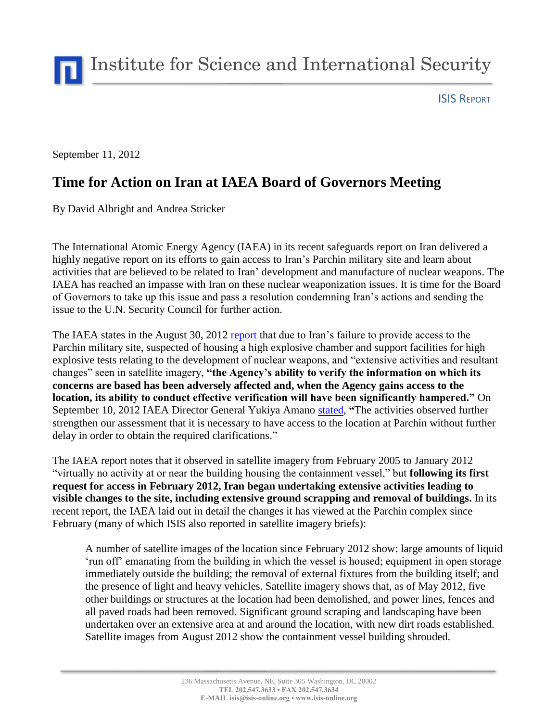Institute for Science and International Security

ISIS REPORT

September 11, 2012

## **Time for Action on Iran at IAEA Board of Governors Meeting**

By David Albright and Andrea Stricker

The International Atomic Energy Agency (IAEA) in its recent safeguards report on Iran delivered a highly negative report on its efforts to gain access to Iran's Parchin military site and learn about activities that are believed to be related to Iran' development and manufacture of nuclear weapons. The IAEA has reached an impasse with Iran on these nuclear weaponization issues. It is time for the Board of Governors to take up this issue and pass a resolution condemning Iran's actions and sending the issue to the U.N. Security Council for further action.

The IAEA states in the August 30, 2012 [report](http://www.isis-online.org/uploads/isis-reports/documents/Iran_report_--_August_30_2012.pdf) that due to Iran's failure to provide access to the Parchin military site, suspected of housing a high explosive chamber and support facilities for high explosive tests relating to the development of nuclear weapons, and "extensive activities and resultant changes" seen in satellite imagery, **"the Agency's ability to verify the information on which its concerns are based has been adversely affected and, when the Agency gains access to the location, its ability to conduct effective verification will have been significantly hampered."** On September 10, 2012 IAEA Director General Yukiya Amano [stated,](http://www.iaea.org/newscenter/statements/2012/amsp2012n011.html) **"**The activities observed further strengthen our assessment that it is necessary to have access to the location at Parchin without further delay in order to obtain the required clarifications."

The IAEA report notes that it observed in satellite imagery from February 2005 to January 2012 "virtually no activity at or near the building housing the containment vessel," but **following its first request for access in February 2012, Iran began undertaking extensive activities leading to visible changes to the site, including extensive ground scrapping and removal of buildings.** In its recent report, the IAEA laid out in detail the changes it has viewed at the Parchin complex since February (many of which ISIS also reported in satellite imagery briefs):

A number of satellite images of the location since February 2012 show: large amounts of liquid 'run off' emanating from the building in which the vessel is housed; equipment in open storage immediately outside the building; the removal of external fixtures from the building itself; and the presence of light and heavy vehicles. Satellite imagery shows that, as of May 2012, five other buildings or structures at the location had been demolished, and power lines, fences and all paved roads had been removed. Significant ground scraping and landscaping have been undertaken over an extensive area at and around the location, with new dirt roads established. Satellite images from August 2012 show the containment vessel building shrouded.